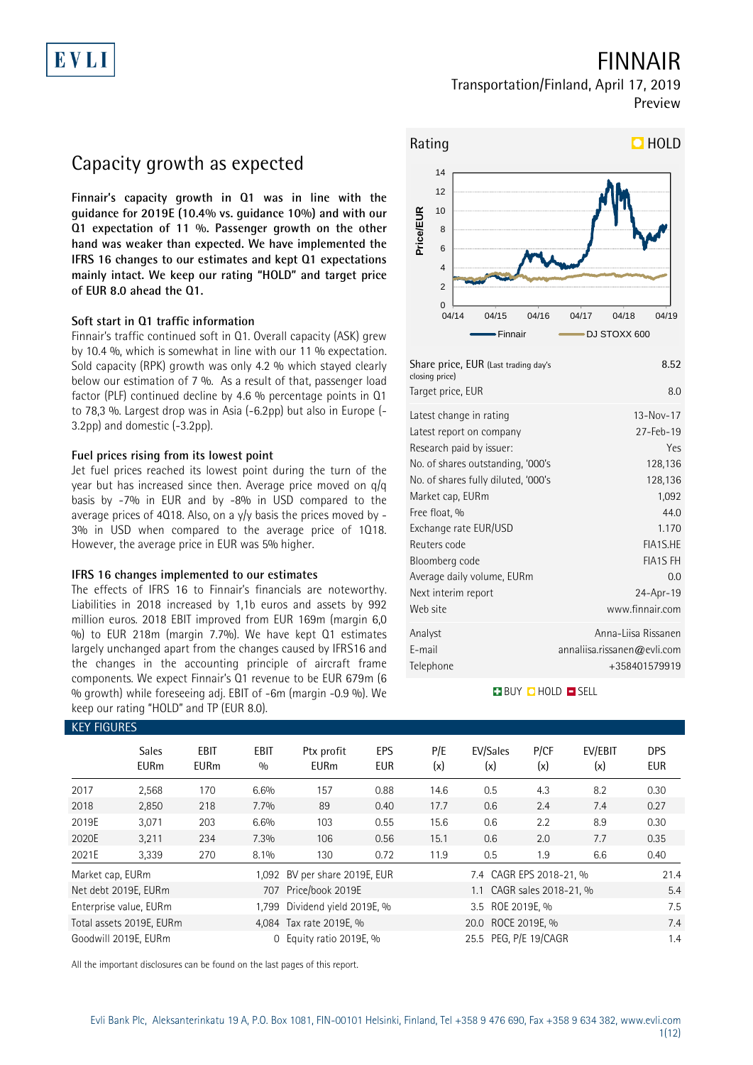

## FINNAIR

Transportation/Finland, April 17, 2019 Preview

## Capacity growth as expected

**Finnair's capacity growth in Q1 was in line with the guidance for 2019E (10.4% vs. guidance 10%) and with our Q1 expectation of 11 %. Passenger growth on the other hand was weaker than expected. We have implemented the IFRS 16 changes to our estimates and kept Q1 expectations mainly intact. We keep our rating "HOLD" and target price of EUR 8.0 ahead the Q1.** 

### **Soft start in Q1 traffic information**

Finnair's traffic continued soft in Q1. Overall capacity (ASK) grew by 10.4 %, which is somewhat in line with our 11 % expectation. Sold capacity (RPK) growth was only 4.2 % which stayed clearly below our estimation of 7 %. As a result of that, passenger load factor (PLF) continued decline by 4.6 % percentage points in Q1 to 78,3 %. Largest drop was in Asia (-6.2pp) but also in Europe (- 3.2pp) and domestic (-3.2pp).

### **Fuel prices rising from its lowest point**

Jet fuel prices reached its lowest point during the turn of the year but has increased since then. Average price moved on q/q basis by -7% in EUR and by -8% in USD compared to the average prices of 4Q18. Also, on a y/y basis the prices moved by - 3% in USD when compared to the average price of 1Q18. However, the average price in EUR was 5% higher.

### **IFRS 16 changes implemented to our estimates**

KEY FIGURES

The effects of IFRS 16 to Finnair's financials are noteworthy. Liabilities in 2018 increased by 1,1b euros and assets by 992 million euros. 2018 EBIT improved from EUR 169m (margin 6,0 %) to EUR 218m (margin 7.7%). We have kept Q1 estimates largely unchanged apart from the changes caused by IFRS16 and the changes in the accounting principle of aircraft frame components. We expect Finnair's Q1 revenue to be EUR 679m (6 % growth) while foreseeing adj. EBIT of -6m (margin -0.9 %). We keep our rating "HOLD" and TP (EUR 8.0).



| Share price, EUR (Last trading day's<br>closing price) | 8.52                        |
|--------------------------------------------------------|-----------------------------|
| Target price, EUR                                      | 8.0                         |
| Latest change in rating                                | $13 - Nov - 17$             |
| Latest report on company                               | $27 - Feb - 19$             |
| Research paid by issuer:                               | Yes                         |
| No. of shares outstanding, '000's                      | 128,136                     |
| No. of shares fully diluted, '000's                    | 128,136                     |
| Market cap, EURm                                       | 1,092                       |
| Free float, %                                          | 440                         |
| Exchange rate EUR/USD                                  | 1.170                       |
| Reuters code                                           | FIA1S.HE                    |
| Bloomberg code                                         | <b>FIA1S FH</b>             |
| Average daily volume, EURm                             | 0.0                         |
| Next interim report                                    | 24-Apr-19                   |
| Web site                                               | www.finnair.com             |
| Analyst                                                | Anna-Liisa Rissanen         |
| E-mail                                                 | annaliisa.rissanen@evli.com |
| Telephone                                              | +358401579919               |

### **BUY CHOLD ESELL**

| KEY FIGURES      |                             |                     |                    |                           |                          |            |                           |             |                |                          |
|------------------|-----------------------------|---------------------|--------------------|---------------------------|--------------------------|------------|---------------------------|-------------|----------------|--------------------------|
|                  | <b>Sales</b><br><b>EURm</b> | EBIT<br><b>EURm</b> | <b>EBIT</b><br>0/0 | Ptx profit<br><b>EURm</b> | <b>EPS</b><br><b>EUR</b> | P/E<br>(x) | EV/Sales<br>(x)           | P/CF<br>(x) | EV/EBIT<br>(x) | <b>DPS</b><br><b>EUR</b> |
| 2017             | 2,568                       | 170                 | 6.6%               | 157                       | 0.88                     | 14.6       | 0.5                       | 4.3         | 8.2            | 0.30                     |
| 2018             | 2,850                       | 218                 | 7.7%               | 89                        | 0.40                     | 17.7       | 0.6                       | 2.4         | 7.4            | 0.27                     |
| 2019E            | 3,071                       | 203                 | 6.6%               | 103                       | 0.55                     | 15.6       | 0.6                       | 2.2         | 8.9            | 0.30                     |
| 2020E            | 3,211                       | 234                 | 7.3%               | 106                       | 0.56                     | 15.1       | 0.6                       | 2.0         | 7.7            | 0.35                     |
| 2021E            | 3,339                       | 270                 | 8.1%               | 130                       | 0.72                     | 11.9       | 0.5                       | 1.9         | 6.6            | 0.40                     |
| Market cap, EURm |                             |                     | 1.092              | BV per share 2019E, EUR   |                          |            | 7.4 CAGR EPS 2018-21, %   |             |                | 21.4                     |
|                  | Net debt 2019E, EURm        |                     |                    | 707 Price/book 2019E      |                          |            | 1.1 CAGR sales 2018-21, % |             |                | 5.4                      |
|                  | Enterprise value, EURm      |                     | 1.799              | Dividend yield 2019E, %   |                          |            | 3.5 ROE 2019E, %          |             |                | 7.5                      |
|                  | Total assets 2019E, EURm    |                     |                    | 4,084 Tax rate 2019E, %   |                          |            | 20.0 ROCE 2019E, %        |             |                | 7.4                      |
|                  | Goodwill 2019E, EURm        |                     | $\Omega$           | Equity ratio 2019E, %     |                          |            | 25.5 PEG, P/E 19/CAGR     |             |                | 1.4                      |

All the important disclosures can be found on the last pages of this report.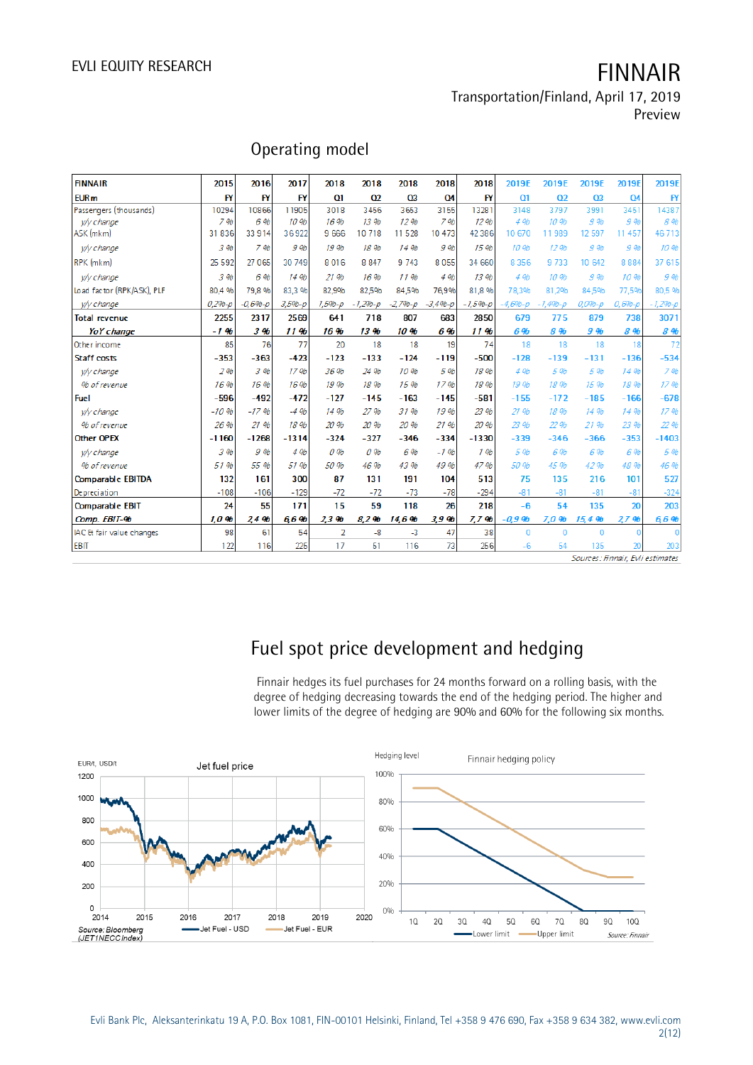### Transportation/Finland, April 17, 2019 Preview

| <b>FINNAIR</b>             | 2015        | 2016         | 2017              | 2018           | 2018             | 2018             | 2018       | 2018      | 2019E             | 2019E             | 2019E          | 2019E           | 2019E         |
|----------------------------|-------------|--------------|-------------------|----------------|------------------|------------------|------------|-----------|-------------------|-------------------|----------------|-----------------|---------------|
| <b>EUR<sub>m</sub></b>     | <b>FY</b>   | <b>FY</b>    | <b>FY</b>         | Q1             | O <sub>2</sub>   | Q <sub>3</sub>   | Q4         | <b>FY</b> | Q1                | O <sub>2</sub>    | O <sub>3</sub> | <b>Q4</b>       | $\mathsf{FY}$ |
| Passengers (thousands)     | 10294       | 10866        | 11905             | 3018           | 3456             | 3653             | 3155       | 13281     | 3148              | 3797              | 3991           | 3451            | 14387         |
| wy change                  | 796         | 6 %          | 10 %              | 16%            | 13 %             | 12 <sub>9b</sub> | 796        | 12 %      | 4 %               | 10.9 <sub>b</sub> | 9 %            | 9 %             | 8 %           |
| ASK (mkm)                  | 31836       | 33 9 14      | 36922             | 9 6 6 6        | 10718            | 11 5 28          | 10 473     | 42 3 8 6  | 10 670            | 11989             | 12 597         | 11 457          | 46713         |
| w/y change                 | 3 %         | 796          | 9 %               | 19 %           | 18 %             | 14 %             | 9 %        | 15 %      | 10 %              | 12 %              | 9 %            | 9 %             | 10 %          |
| RPK (mkm)                  | 25 5 9 2    | 27 0 65      | 30 749            | 8016           | 8 8 4 7          | 9 7 4 3          | 8055       | 34 660    | 8356              | 9733              | 10 642         | 8884            | 37 615        |
| w/y change                 | 3 %         | 6 %          | 14 %              | 21 %           | 16%              | 1196             | 4 %        | 13 %      | 496               | 10 %              | 9 %            | 10 %            | 9 %           |
| Load factor (RPK/ASK), PLF | 80.4 %      | 79.8%        | 83,3 %            | 82,9%          | 82,5%            | 84,5%            | 76,9%      | 81.8 %    | 78,3%             | 81.2%             | 84,5%          | 77,5%           | 80,5 %        |
| <i>v/y change</i>          | $0.296 - p$ | $-0.69b - p$ | $3.5%-p$          | $1.596 - D$    | $-1.29b - D$     | $-2,79b-p$       | $-3,496-p$ | $-1.5%p$  | $-4,69b-p$        | $-1.496 - D$      | $0.096 - D$    | $0.6% - p$      | $-1,296-p$    |
| <b>Total revenue</b>       | 2255        | 2317         | 2569              | 641            | 718              | 807              | 683        | 2850      | 679               | 775               | 879            | 738             | 3071          |
| YoY change                 | $-1.96$     | 396          | 11%               | 16%            | 13 <sub>9b</sub> | 10 %             | 6%         | 11%       | 6%                | 8 %               | 9%             | 8 %             | <b>8 %</b>    |
| Other income               | 85          | 76           | 77                | 20             | 18               | 18               | 19         | 74        | 18                | 18                | 18             | 18              | 72            |
| Staff costs                | $-353$      | $-363$       | $-423$            | $-123$         | $-133$           | $-124$           | $-119$     | $-500$    | $-128$            | $-139$            | $-131$         | $-136$          | $-534$        |
| y/y change                 | 296         | 396          | 17.9 <sub>b</sub> | 36 %           | 24 %             | 10.96            | 5 %        | 18 %      | 496               | 5 %               | 5 %            | 14 %            | 796           |
| % of revenue               | 16%         | 16 %         | 16 %              | 19 %           | 18 %             | 15%              | 1796       | 18 %      | 19 %              | 18 %              | 1596           | 18 %            | 17 %          |
| <b>Fuel</b>                | $-596$      | $-492$       | $-472$            | $-127$         | $-145$           | $-163$           | $-145$     | $-581$    | $-155$            | $-172$            | $-185$         | $-166$          | $-678$        |
| w/y change                 | $-10.96$    | $-17.96$     | $-4.9b$           | 14 %           | 27 %             | 31%              | 19 %       | 23 %      | 21.9 <sub>b</sub> | 18 %              | 14 %           | 14 %            | 1796          |
| % of revenue               | 26 %        | 21 %         | 18 %              | 20 %           | 20 %             | 20 %             | 21 %       | 20 %      | 23 %              | 22 %              | 2196           | 23 %            | 22 %          |
| <b>Other OPEX</b>          | $-1160$     | $-1268$      | $-1314$           | $-324$         | $-327$           | $-346$           | $-334$     | $-1330$   | $-339$            | $-346$            | $-366$         | $-353$          | $-1403$       |
| w/y change                 | 3 %         | 9 %          | 496               | 0%             | 0.96             | 6%               | $-1.96$    | 196       | 5 %               | 6%                | 6 %            | 6 %             | 5 %           |
| % of revenue               | 51 %        | 55 %         | 51 %              | 50 %           | 46 %             | 43 %             | 49 %       | 47 %      | 50 %              | 45 %              | 42 %           | 48 %            | 46 %          |
| <b>Comparable EBITDA</b>   | 132         | 161          | 300               | 87             | 131              | 191              | 104        | 513       | 75                | 135               | 216            | 101             | 527           |
| Depreciation               | $-108$      | $-106$       | $-129$            | $-72$          | $-72$            | $-73$            | $-78$      | $-294$    | $-81$             | $-81$             | $-81$          | $-81$           | $-324$        |
| <b>Comparable EBIT</b>     | 24          | 55           | 171               | 15             | 59               | 118              | 26         | 218       | $-6$              | 54                | 135            | $\overline{20}$ | 203           |
| Comp. EBIT-%               | 1,0,96      | 24%          | 6.6%              | 2.3%           | 8.2%             | 14,6%            | 3.9%       | 7.7%      | $-0.9%$           | 7.0%              | 15.4%          | 27%             | 6,6%          |
| IAC & fair value changes   | 98          | 61           | 54                | $\overline{2}$ | $-8$             | $-3$             | 47         | 38        | $\mathbf{0}$      | $\mathbf{0}$      | $\Omega$       |                 | $\mathbf{0}$  |
| <b>EBIT</b>                | 122         | 116          | 225               | 17             | 51               | 116              | 73         | 256       | $-6$              | 54                | 135            | 20              | 203           |

## Operating model

Sources: Finnair, Evli estimates

# Fuel spot price development and hedging

Finnair hedges its fuel purchases for 24 months forward on a rolling basis, with the degree of hedging decreasing towards the end of the hedging period. The higher and lower limits of the degree of hedging are 90% and 60% for the following six months.

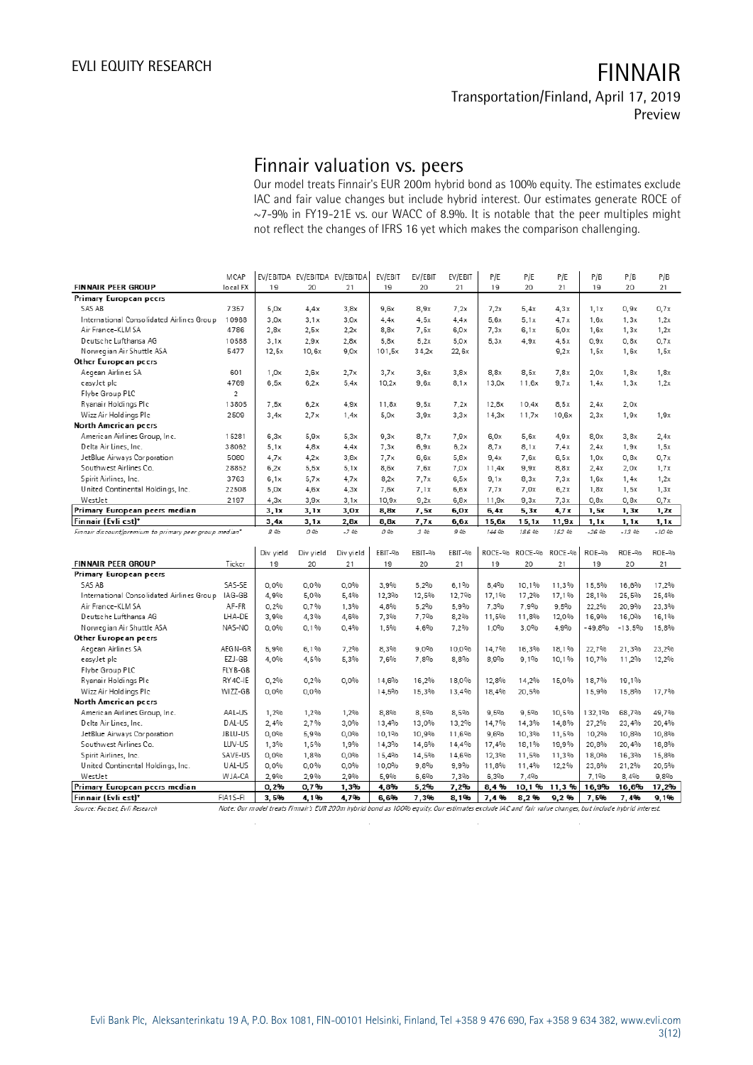Preview

## Finnair valuation vs. peers

Our model treats Finnair's EUR 200m hybrid bond as 100% equity. The estimates exclude IAC and fair value changes but include hybrid interest. Our estimates generate ROCE of ~7-9% in FY19-21E vs. our WACC of 8.9%. It is notable that the peer multiples might not reflect the changes of IFRS 16 yet which makes the comparison challenging.

| MCAP                                                   |                                                                                                                             |                                                                                                              |                                                                                                                           | EV/EBIT                                                                                                                                          | EV/EBIT                                                                                                                             | EV/EBIT                                                                                                                       | P/E                                                                                                                                 | P/E                                                                                                                          | P/E                                                                                                                            | P/B                                                                                                                                                 | P/B                                                                                                                                           | P/B                                                                                                                                           |
|--------------------------------------------------------|-----------------------------------------------------------------------------------------------------------------------------|--------------------------------------------------------------------------------------------------------------|---------------------------------------------------------------------------------------------------------------------------|--------------------------------------------------------------------------------------------------------------------------------------------------|-------------------------------------------------------------------------------------------------------------------------------------|-------------------------------------------------------------------------------------------------------------------------------|-------------------------------------------------------------------------------------------------------------------------------------|------------------------------------------------------------------------------------------------------------------------------|--------------------------------------------------------------------------------------------------------------------------------|-----------------------------------------------------------------------------------------------------------------------------------------------------|-----------------------------------------------------------------------------------------------------------------------------------------------|-----------------------------------------------------------------------------------------------------------------------------------------------|
| local FX                                               | 19                                                                                                                          | 20                                                                                                           | 21                                                                                                                        | 19                                                                                                                                               | 20                                                                                                                                  | 21                                                                                                                            | 19                                                                                                                                  | 20                                                                                                                           | 21                                                                                                                             | 19                                                                                                                                                  | 20                                                                                                                                            | 21                                                                                                                                            |
|                                                        |                                                                                                                             |                                                                                                              |                                                                                                                           |                                                                                                                                                  |                                                                                                                                     |                                                                                                                               |                                                                                                                                     |                                                                                                                              |                                                                                                                                |                                                                                                                                                     |                                                                                                                                               |                                                                                                                                               |
| 7357                                                   | 5.0x                                                                                                                        | 4.4x                                                                                                         | 3.8x                                                                                                                      | 9.6x                                                                                                                                             | 8,9x                                                                                                                                | 7,2x                                                                                                                          | 7.2x                                                                                                                                | 5.4x                                                                                                                         | 4.3x                                                                                                                           | 1,1x                                                                                                                                                | 0.9x                                                                                                                                          | 0.7x                                                                                                                                          |
| 10968                                                  | 3.0x                                                                                                                        | 3.1x                                                                                                         | 3,0x                                                                                                                      | 4.4x                                                                                                                                             | 4,5x                                                                                                                                | 4.4x                                                                                                                          | 5.6x                                                                                                                                | 5.1x                                                                                                                         | 4.7x                                                                                                                           | 1.6x                                                                                                                                                | 1,3x                                                                                                                                          | 1,2x                                                                                                                                          |
| 4786                                                   | 2.8x                                                                                                                        | 2,5x                                                                                                         | 2,2x                                                                                                                      | 8.8x                                                                                                                                             | 7,5x                                                                                                                                | 6.0x                                                                                                                          | 7,3x                                                                                                                                | 6,1x                                                                                                                         | 5.0x                                                                                                                           | 1.6x                                                                                                                                                | 1,3x                                                                                                                                          | 1,2x                                                                                                                                          |
| 10588                                                  | 3,1x                                                                                                                        | 2,9x                                                                                                         | 2,8x                                                                                                                      | 5,8x                                                                                                                                             | 5,2x                                                                                                                                | 5,0x                                                                                                                          | 5,3x                                                                                                                                | 4.9x                                                                                                                         | 4.5x                                                                                                                           | 0,9x                                                                                                                                                | 0,8x                                                                                                                                          | 0,7x                                                                                                                                          |
| 5477                                                   | 12.5x                                                                                                                       | 10.6x                                                                                                        | 9.0x                                                                                                                      | 101.5x                                                                                                                                           | 34,2x                                                                                                                               | 22.6x                                                                                                                         |                                                                                                                                     |                                                                                                                              | 9,2x                                                                                                                           | 1,5x                                                                                                                                                | 1,6x                                                                                                                                          | 1,5x                                                                                                                                          |
|                                                        |                                                                                                                             |                                                                                                              |                                                                                                                           |                                                                                                                                                  |                                                                                                                                     |                                                                                                                               |                                                                                                                                     |                                                                                                                              |                                                                                                                                |                                                                                                                                                     |                                                                                                                                               |                                                                                                                                               |
| 601                                                    | 1,0x                                                                                                                        | 2,6x                                                                                                         | 2.7x                                                                                                                      | 3,7x                                                                                                                                             | 3,6x                                                                                                                                | 3.8x                                                                                                                          | 8.8x                                                                                                                                | 8,5x                                                                                                                         | 7,8x                                                                                                                           | 2,0x                                                                                                                                                | 1,8x                                                                                                                                          | 1,8x                                                                                                                                          |
| 4769                                                   | 6,5x                                                                                                                        | 6.2x                                                                                                         | 5.4x                                                                                                                      | 10,2x                                                                                                                                            | 9.6x                                                                                                                                | 8.1x                                                                                                                          | 13,0x                                                                                                                               | 11.6x                                                                                                                        | 9.7x                                                                                                                           | 1.4x                                                                                                                                                | 1.3x                                                                                                                                          | 1,2x                                                                                                                                          |
| $\overline{2}$                                         |                                                                                                                             |                                                                                                              |                                                                                                                           |                                                                                                                                                  |                                                                                                                                     |                                                                                                                               |                                                                                                                                     |                                                                                                                              |                                                                                                                                |                                                                                                                                                     |                                                                                                                                               |                                                                                                                                               |
| 13805                                                  | 7.5x                                                                                                                        | 6.2x                                                                                                         | 4.9x                                                                                                                      | 11,8x                                                                                                                                            | 9.5x                                                                                                                                | 7.2x                                                                                                                          | 12,8x                                                                                                                               | 10,4x                                                                                                                        | 8,5x                                                                                                                           | 2.4x                                                                                                                                                | 2,0x                                                                                                                                          |                                                                                                                                               |
| 2509                                                   | 3,4x                                                                                                                        | 2.7x                                                                                                         | 1,4x                                                                                                                      | 5,0x                                                                                                                                             | 3.9x                                                                                                                                | 3,3x                                                                                                                          | 14,3x                                                                                                                               | 11,7x                                                                                                                        | 10,6x                                                                                                                          | 2,3x                                                                                                                                                | 1,9x                                                                                                                                          | 1,9x                                                                                                                                          |
|                                                        |                                                                                                                             |                                                                                                              |                                                                                                                           |                                                                                                                                                  |                                                                                                                                     |                                                                                                                               |                                                                                                                                     |                                                                                                                              |                                                                                                                                |                                                                                                                                                     |                                                                                                                                               |                                                                                                                                               |
| 15281                                                  | 6,3x                                                                                                                        | 5.9x                                                                                                         | 5,3x                                                                                                                      | 9.3x                                                                                                                                             | 8,7x                                                                                                                                | 7.9x                                                                                                                          | 6,0x                                                                                                                                | 5.6x                                                                                                                         | 4.9x                                                                                                                           | 8,0x                                                                                                                                                | 3.8x                                                                                                                                          | 2.4x                                                                                                                                          |
| 38062                                                  | 5.1x                                                                                                                        | 4.8x                                                                                                         | 4.4x                                                                                                                      | 7,3x                                                                                                                                             | 6,9x                                                                                                                                | 6,2x                                                                                                                          | 8,7x                                                                                                                                | 8,1x                                                                                                                         | 7.4x                                                                                                                           | 2,4x                                                                                                                                                | 1,9x                                                                                                                                          | 1,5x                                                                                                                                          |
| 5080                                                   | 4.7x                                                                                                                        | 4.2x                                                                                                         | 3.8x                                                                                                                      | 7.7x                                                                                                                                             | 6.6x                                                                                                                                | 5.8x                                                                                                                          | 9.4x                                                                                                                                | 7.6x                                                                                                                         | 6.5x                                                                                                                           | 1.0x                                                                                                                                                | 0.8x                                                                                                                                          | 0.7x                                                                                                                                          |
| 28852                                                  | 6,2x                                                                                                                        | 5,5x                                                                                                         | 5,1x                                                                                                                      | 8,6x                                                                                                                                             | 7.6x                                                                                                                                | 7.0x                                                                                                                          | 11.4x                                                                                                                               | 9,9x                                                                                                                         | 8,8x                                                                                                                           | 2,4x                                                                                                                                                | 2,0x                                                                                                                                          | 1,7x                                                                                                                                          |
| 3763                                                   | 6,1x                                                                                                                        | 5.7x                                                                                                         | 4.7x                                                                                                                      | 8,2x                                                                                                                                             | 7.7x                                                                                                                                | 6,5x                                                                                                                          | 9,1x                                                                                                                                | 8,3x                                                                                                                         | 7,3x                                                                                                                           | 1,6x                                                                                                                                                | 1,4x                                                                                                                                          | 1,2x                                                                                                                                          |
| 22508                                                  | 5.0x                                                                                                                        |                                                                                                              |                                                                                                                           |                                                                                                                                                  |                                                                                                                                     |                                                                                                                               |                                                                                                                                     |                                                                                                                              |                                                                                                                                |                                                                                                                                                     |                                                                                                                                               | 1,3x                                                                                                                                          |
| 2197                                                   | 4.3x                                                                                                                        | 3.9x                                                                                                         | 3.1x                                                                                                                      | 10.9x                                                                                                                                            | 9.2x                                                                                                                                | 6.8x                                                                                                                          | 11.9x                                                                                                                               | 9.3x                                                                                                                         | 7.3x                                                                                                                           | 0.8x                                                                                                                                                | 0.8x                                                                                                                                          | 0.7x                                                                                                                                          |
|                                                        | 3,1x                                                                                                                        | 3.1x                                                                                                         | 3,0x                                                                                                                      | 8,8x                                                                                                                                             | 7,5x                                                                                                                                | 6,0x                                                                                                                          | 6, 4x                                                                                                                               | 5,3x                                                                                                                         | 4.7x                                                                                                                           | 1,5x                                                                                                                                                | 1, 3x                                                                                                                                         | 1,2x                                                                                                                                          |
|                                                        |                                                                                                                             |                                                                                                              |                                                                                                                           |                                                                                                                                                  |                                                                                                                                     |                                                                                                                               |                                                                                                                                     |                                                                                                                              |                                                                                                                                |                                                                                                                                                     |                                                                                                                                               | 1, 1x                                                                                                                                         |
| Finnair discount/premium to primary peer group median* | 8 %                                                                                                                         | 0 %                                                                                                          | $-796$                                                                                                                    | 0 %                                                                                                                                              | 3 96                                                                                                                                | 996                                                                                                                           | 144 96                                                                                                                              | 186 %                                                                                                                        | 152 %                                                                                                                          | $-2696$                                                                                                                                             | $-13.96$                                                                                                                                      | $-10.96$                                                                                                                                      |
|                                                        |                                                                                                                             |                                                                                                              |                                                                                                                           |                                                                                                                                                  |                                                                                                                                     |                                                                                                                               |                                                                                                                                     |                                                                                                                              |                                                                                                                                |                                                                                                                                                     |                                                                                                                                               |                                                                                                                                               |
|                                                        | Div yield                                                                                                                   | Div yield                                                                                                    | Div yield                                                                                                                 | EBIT-%                                                                                                                                           | EBIT-%                                                                                                                              | EBIT-%                                                                                                                        |                                                                                                                                     |                                                                                                                              | ROCE-%                                                                                                                         | ROE-%                                                                                                                                               | ROE-%                                                                                                                                         | ROE-%                                                                                                                                         |
| Ticker                                                 | 19                                                                                                                          | 20                                                                                                           | 21                                                                                                                        | 19                                                                                                                                               | 20                                                                                                                                  | 21                                                                                                                            | 19                                                                                                                                  | 20                                                                                                                           | 21                                                                                                                             | 19                                                                                                                                                  | 20                                                                                                                                            | 21                                                                                                                                            |
|                                                        |                                                                                                                             |                                                                                                              |                                                                                                                           |                                                                                                                                                  |                                                                                                                                     |                                                                                                                               |                                                                                                                                     |                                                                                                                              |                                                                                                                                |                                                                                                                                                     |                                                                                                                                               |                                                                                                                                               |
| SAS-SE                                                 | 0.0%                                                                                                                        | 0.0%                                                                                                         | 0.0%                                                                                                                      | 3.9%                                                                                                                                             | 5,2%                                                                                                                                | 6.1%                                                                                                                          | 8.4%                                                                                                                                | 10.1%                                                                                                                        | 11.3%                                                                                                                          | 15.5%                                                                                                                                               | 16,6%                                                                                                                                         | 17,2%                                                                                                                                         |
| IAG-GB                                                 | 4,9%                                                                                                                        | 5,0%                                                                                                         | 5,4%                                                                                                                      | 12,3%                                                                                                                                            | 12,5%                                                                                                                               | 12,7%                                                                                                                         | 17,1%                                                                                                                               | 17,2%                                                                                                                        | 17,1%                                                                                                                          | 28,1%                                                                                                                                               | 25,5%                                                                                                                                         | 25,4%                                                                                                                                         |
| AF-FR                                                  | 0.2%                                                                                                                        | 0.7%                                                                                                         | 1.3%                                                                                                                      | 4.8%                                                                                                                                             | 5.2%                                                                                                                                | 5.9%                                                                                                                          | 7.3%                                                                                                                                | 7.9%                                                                                                                         | 9.5%                                                                                                                           | 22.2%                                                                                                                                               | 20.9%                                                                                                                                         | 23,3%                                                                                                                                         |
| LHA-DE                                                 | 3.9%                                                                                                                        | 4.3%                                                                                                         | 4.6%                                                                                                                      |                                                                                                                                                  | 7.7%                                                                                                                                |                                                                                                                               | 11.5%                                                                                                                               |                                                                                                                              |                                                                                                                                |                                                                                                                                                     |                                                                                                                                               | 16,1%                                                                                                                                         |
|                                                        |                                                                                                                             |                                                                                                              |                                                                                                                           |                                                                                                                                                  |                                                                                                                                     |                                                                                                                               |                                                                                                                                     |                                                                                                                              |                                                                                                                                |                                                                                                                                                     |                                                                                                                                               | 15,8%                                                                                                                                         |
|                                                        |                                                                                                                             |                                                                                                              |                                                                                                                           |                                                                                                                                                  |                                                                                                                                     |                                                                                                                               |                                                                                                                                     |                                                                                                                              |                                                                                                                                |                                                                                                                                                     |                                                                                                                                               |                                                                                                                                               |
| AEGN-GR                                                |                                                                                                                             |                                                                                                              |                                                                                                                           |                                                                                                                                                  |                                                                                                                                     |                                                                                                                               |                                                                                                                                     |                                                                                                                              |                                                                                                                                |                                                                                                                                                     |                                                                                                                                               | 23,2%                                                                                                                                         |
|                                                        |                                                                                                                             |                                                                                                              |                                                                                                                           |                                                                                                                                                  |                                                                                                                                     |                                                                                                                               |                                                                                                                                     |                                                                                                                              |                                                                                                                                |                                                                                                                                                     |                                                                                                                                               | 12,2%                                                                                                                                         |
|                                                        |                                                                                                                             |                                                                                                              |                                                                                                                           |                                                                                                                                                  |                                                                                                                                     |                                                                                                                               |                                                                                                                                     |                                                                                                                              |                                                                                                                                |                                                                                                                                                     |                                                                                                                                               |                                                                                                                                               |
|                                                        |                                                                                                                             |                                                                                                              |                                                                                                                           |                                                                                                                                                  |                                                                                                                                     |                                                                                                                               |                                                                                                                                     |                                                                                                                              |                                                                                                                                |                                                                                                                                                     |                                                                                                                                               |                                                                                                                                               |
|                                                        |                                                                                                                             |                                                                                                              |                                                                                                                           |                                                                                                                                                  |                                                                                                                                     |                                                                                                                               |                                                                                                                                     |                                                                                                                              |                                                                                                                                |                                                                                                                                                     |                                                                                                                                               | 17,7%                                                                                                                                         |
|                                                        |                                                                                                                             |                                                                                                              |                                                                                                                           |                                                                                                                                                  |                                                                                                                                     |                                                                                                                               |                                                                                                                                     |                                                                                                                              |                                                                                                                                |                                                                                                                                                     |                                                                                                                                               |                                                                                                                                               |
|                                                        |                                                                                                                             |                                                                                                              |                                                                                                                           |                                                                                                                                                  |                                                                                                                                     |                                                                                                                               |                                                                                                                                     |                                                                                                                              |                                                                                                                                |                                                                                                                                                     |                                                                                                                                               | 49,7%                                                                                                                                         |
|                                                        |                                                                                                                             |                                                                                                              |                                                                                                                           |                                                                                                                                                  |                                                                                                                                     |                                                                                                                               |                                                                                                                                     |                                                                                                                              |                                                                                                                                |                                                                                                                                                     |                                                                                                                                               | 20,4%                                                                                                                                         |
|                                                        |                                                                                                                             |                                                                                                              |                                                                                                                           |                                                                                                                                                  |                                                                                                                                     |                                                                                                                               |                                                                                                                                     |                                                                                                                              |                                                                                                                                |                                                                                                                                                     |                                                                                                                                               | 10,8%                                                                                                                                         |
|                                                        |                                                                                                                             |                                                                                                              |                                                                                                                           |                                                                                                                                                  |                                                                                                                                     |                                                                                                                               |                                                                                                                                     |                                                                                                                              |                                                                                                                                |                                                                                                                                                     |                                                                                                                                               | 18,8%                                                                                                                                         |
|                                                        |                                                                                                                             |                                                                                                              |                                                                                                                           |                                                                                                                                                  |                                                                                                                                     |                                                                                                                               |                                                                                                                                     |                                                                                                                              |                                                                                                                                |                                                                                                                                                     |                                                                                                                                               | 15,8%                                                                                                                                         |
|                                                        |                                                                                                                             |                                                                                                              |                                                                                                                           |                                                                                                                                                  |                                                                                                                                     |                                                                                                                               |                                                                                                                                     |                                                                                                                              |                                                                                                                                |                                                                                                                                                     |                                                                                                                                               | 20,5%                                                                                                                                         |
|                                                        |                                                                                                                             |                                                                                                              |                                                                                                                           |                                                                                                                                                  |                                                                                                                                     |                                                                                                                               |                                                                                                                                     |                                                                                                                              |                                                                                                                                |                                                                                                                                                     |                                                                                                                                               | 9,8%                                                                                                                                          |
|                                                        |                                                                                                                             |                                                                                                              |                                                                                                                           |                                                                                                                                                  |                                                                                                                                     |                                                                                                                               |                                                                                                                                     |                                                                                                                              |                                                                                                                                |                                                                                                                                                     |                                                                                                                                               | 17,2%                                                                                                                                         |
|                                                        | 3.5%                                                                                                                        | 4.1%                                                                                                         | 4.7%                                                                                                                      | 6.6%                                                                                                                                             | 7.3%                                                                                                                                | 8.1%                                                                                                                          | 7.4%                                                                                                                                | 8.2%                                                                                                                         | 9.2%                                                                                                                           | 7.5%                                                                                                                                                | 7.4%                                                                                                                                          | 9.1%                                                                                                                                          |
| FIA1 S-FI                                              |                                                                                                                             |                                                                                                              |                                                                                                                           |                                                                                                                                                  |                                                                                                                                     |                                                                                                                               |                                                                                                                                     |                                                                                                                              |                                                                                                                                |                                                                                                                                                     |                                                                                                                                               |                                                                                                                                               |
|                                                        | NAS-NO<br>EZJ-GB<br>FLYB-GB<br>RY 4C-IE<br>WIZZ-GB<br>AAL-US<br>DAL-US<br>JBLU-US<br>LUV-US<br>SAVE-US<br>UAL-US<br>W JA-CA | 3,4x<br>0.0%<br>5.9%<br>4.0%<br>0.2%<br>0.0%<br>1,2%<br>2.4%<br>0,0%<br>1,3%<br>0.0%<br>0,0%<br>2.9%<br>0,2% | 4,6x<br>3, 1 x<br>0.1%<br>6.1%<br>4.5%<br>0.2%<br>$0.0\%$<br>1.2%<br>2.7%<br>5,9%<br>1,5%<br>1.8%<br>0.0%<br>2,9%<br>0,7% | EV/EBITDA EV/EBITDA EV/EBITDA<br>4,3x<br>2,8x<br>0,4%<br>7.2%<br>5.3%<br>0.0%<br>1,2%<br>3.0%<br>0.0%<br>1,9%<br>0.0%<br>$0,0\%$<br>2.9%<br>1,3% | 7,6x<br>8,8x<br>7,3%<br>1,5%<br>8.3%<br>7.6%<br>14.6%<br>14.5%<br>8,8%<br>13,4%<br>10,1%<br>14,3%<br>15,4%<br>10,0%<br>5,9%<br>4,8% | 7,1x<br>7.7x<br>4.6%<br>$9.0\%$<br>7.8%<br>16.2%<br>15.3%<br>8.5%<br>13,0%<br>10,9%<br>14,6%<br>14.5%<br>9,8%<br>6,6%<br>5,2% | 6,6x<br>6,6x<br>8,2%<br>7,2%<br>10.0%<br>8,8%<br>18,0%<br>13.4%<br>8,5%<br>13,2%<br>11,6%<br>14,4%<br>14.6%<br>9,9%<br>7,3%<br>7,2% | 7,7x<br>15,6x<br>1.0%<br>14.7%<br>8.9%<br>12.8%<br>18,4%<br>9.5%<br>14.7%<br>9,6%<br>17,4%<br>12.3%<br>11.8%<br>6.3%<br>8,4% | 7,0x<br>15,1x<br>11,8%<br>3,0%<br>16.3%<br>9.1%<br>14,2%<br>20.5%<br>9.5%<br>14.3%<br>10,3%<br>18,1%<br>11,5%<br>11,4%<br>7,4% | 6,2x<br>11,9x<br>ROCE-% ROCE-%<br>12,0%<br>4,9%<br>18,1%<br>10.1%<br>15.0%<br>10.5%<br>14.8%<br>11,5%<br>19,9%<br>11,3%<br>12,2%<br>10,1%<br>11,3 % | 1,8x<br>1,1x<br>16,9%<br>$-49,8%$<br>22.7%<br>10.7%<br>18.7%<br>15.9%<br>132,1%<br>27,2%<br>10,2%<br>20,8%<br>18.0%<br>23,6%<br>7.1%<br>16,9% | 1,5x<br>1, 1x<br>16,0%<br>$-13,5%$<br>21.3%<br>11,2%<br>19,1%<br>15.8%<br>68,7%<br>23,4%<br>10,8%<br>20,4%<br>16,3%<br>21,2%<br>8.4%<br>16,6% |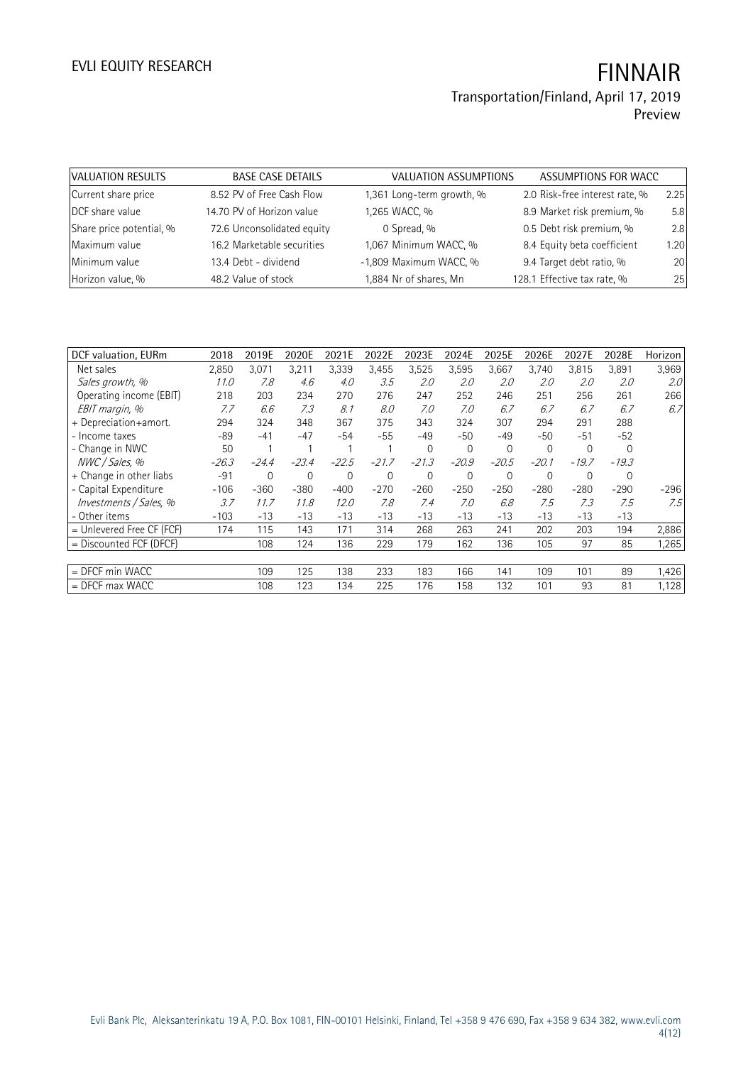# EVLI EQUITY RESEARCH **FINNAIR**

## Transportation/Finland, April 17, 2019 Preview

| <b>VALUATION RESULTS</b> | <b>BASE CASE DETAILS</b>   | <b>VALUATION ASSUMPTIONS</b> | ASSUMPTIONS FOR WACC           |      |
|--------------------------|----------------------------|------------------------------|--------------------------------|------|
| Current share price      | 8.52 PV of Free Cash Flow  | 1,361 Long-term growth, %    | 2.0 Risk-free interest rate, % | 2.25 |
| DCF share value          | 14.70 PV of Horizon value  | 1,265 WACC, %                | 8.9 Market risk premium, %     | 5.8  |
| Share price potential, % | 72.6 Unconsolidated equity | 0 Spread, %                  | 0.5 Debt risk premium, %       | 2.8  |
| Maximum value            | 16.2 Marketable securities | 1,067 Minimum WACC, %        | 8.4 Equity beta coefficient    | 1.20 |
| Minimum value            | 13.4 Debt - dividend       | -1,809 Maximum WACC, %       | 9.4 Target debt ratio, %       | 20   |
| Horizon value, %         | 48.2 Value of stock        | 1,884 Nr of shares, Mn       | 128.1 Effective tax rate, %    | 25   |

| DCF valuation, EURm         | 2018    | 2019E          | 2020E       | 2021E   | 2022E        | 2023E       | 2024E        | 2025E       | 2026E       | 2027E    | 2028E    | Horizon          |
|-----------------------------|---------|----------------|-------------|---------|--------------|-------------|--------------|-------------|-------------|----------|----------|------------------|
| Net sales                   | 2,850   | 3,071          | 3,211       | 3,339   | 3,455        | 3,525       | 3,595        | 3,667       | 3,740       | 3,815    | 3,891    | 3,969            |
| Sales growth, %             | 11.0    | 7.8            | 4.6         | 4.0     | 3.5          | 2.0         | 2.0          | 2.0         | 2.0         | 2.0      | 2.0      | 2.0 <sup>°</sup> |
| Operating income (EBIT)     | 218     | 203            | 234         | 270     | 276          | 247         | 252          | 246         | 251         | 256      | 261      | 266              |
| EBIT margin, %              | 7.7     | 6.6            | 7.3         | 8.1     | 8.0          | 7.0         | 7.0          | 6.7         | 6.7         | 6.7      | 6.7      | 6.7              |
| + Depreciation+amort.       | 294     | 324            | 348         | 367     | 375          | 343         | 324          | 307         | 294         | 291      | 288      |                  |
| - Income taxes              | -89     | $-41$          | $-47$       | -54     | -55          | $-49$       | $-50$        | -49         | $-50$       | $-51$    | $-52$    |                  |
| - Change in NWC             | 50      |                |             |         |              | $\Omega$    | $\mathbf{0}$ | $\mathbf 0$ | $\mathbf 0$ | $\Omega$ | $\Omega$ |                  |
| NWC / Sales, %              | $-26.3$ | $-24.4$        | $-23.4$     | $-22.5$ | $-21.7$      | $-21.3$     | $-20.9$      | $-20.5$     | $-20.1$     | $-19.7$  | $-19.3$  |                  |
| + Change in other liabs     | $-91$   | $\overline{0}$ | $\mathbf 0$ | 0       | $\mathbf{0}$ | $\mathbf 0$ | $\mathbf{0}$ | $\mathbf 0$ | $\mathbf 0$ | 0        | 0        |                  |
| - Capital Expenditure       | $-106$  | $-360$         | $-380$      | $-400$  | $-270$       | $-260$      | $-250$       | $-250$      | $-280$      | $-280$   | $-290$   | $-296$           |
| Investments / Sales, %      | 3.7     | 11.7           | 11.8        | 12.0    | 7.8          | 7.4         | 7.0          | 6.8         | 7.5         | 7.3      | 7.5      | 7.5              |
| - Other items               | $-103$  | $-13$          | $-13$       | $-13$   | -13          | $-13$       | $-13$        | $-13$       | $-13$       | $-13$    | $-13$    |                  |
| $=$ Unlevered Free CF (FCF) | 174     | 115            | 143         | 171     | 314          | 268         | 263          | 241         | 202         | 203      | 194      | 2,886            |
| $=$ Discounted FCF (DFCF)   |         | 108            | 124         | 136     | 229          | 179         | 162          | 136         | 105         | 97       | 85       | 1,265            |
|                             |         |                |             |         |              |             |              |             |             |          |          |                  |
| = DFCF min WACC             |         | 109            | 125         | 138     | 233          | 183         | 166          | 141         | 109         | 101      | 89       | 1,426            |
| $=$ DFCF max WACC           |         | 108            | 123         | 134     | 225          | 176         | 158          | 132         | 101         | 93       | 81       | 1,128            |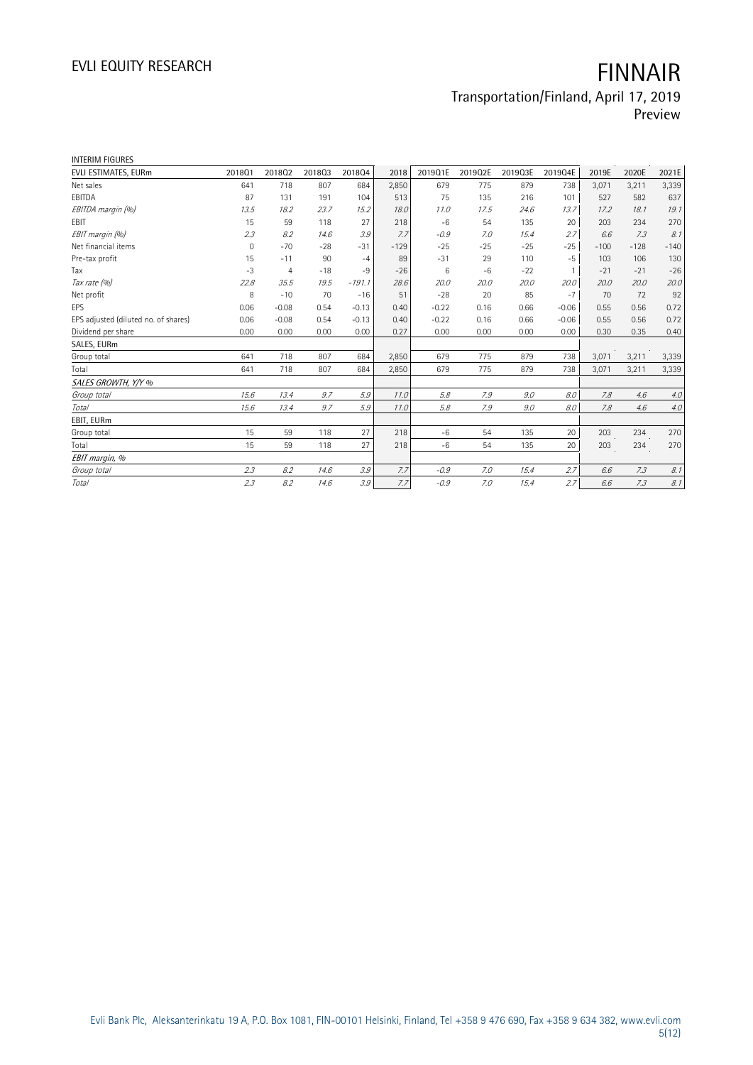Preview

| <b>INTERIM FIGURES</b>               |                     |                |        |          |        |         |         |         |                 |        |        |        |
|--------------------------------------|---------------------|----------------|--------|----------|--------|---------|---------|---------|-----------------|--------|--------|--------|
| EVLI ESTIMATES, EURm                 | 201801              | 201802         | 201803 | 201804   | 2018   | 2019Q1E | 2019Q2E | 2019Q3E | 2019Q4E         | 2019E  | 2020E  | 2021E  |
| Net sales                            | 641                 | 718            | 807    | 684      | 2,850  | 679     | 775     | 879     | 738             | 3,071  | 3,211  | 3,339  |
| EBITDA                               | 87                  | 131            | 191    | 104      | 513    | 75      | 135     | 216     | 101             | 527    | 582    | 637    |
| EBITDA margin (%)                    | 13.5                | 18.2           | 23.7   | 15.2     | 18.0   | 11.0    | 17.5    | 24.6    | 13.7            | 17.2   | 18.1   | 19.1   |
| EBIT                                 | 15                  | 59             | 118    | 27       | 218    | $-6$    | 54      | 135     | 20              | 203    | 234    | 270    |
| EBIT margin (%)                      | 2.3                 | 8.2            | 14.6   | 3.9      | 7.7    | $-0.9$  | 7.0     | 15.4    | 2.7             | 6.6    | 7.3    | 8.1    |
| Net financial items                  | $\mathsf{O}\xspace$ | $-70$          | $-28$  | $-31$    | $-129$ | $-25$   | $-25$   | $-25$   | $-25$           | $-100$ | $-128$ | $-140$ |
| Pre-tax profit                       | 15                  | $-11$          | 90     | $-4$     | 89     | $-31$   | 29      | 110     | $-5$            | 103    | 106    | 130    |
| Tax                                  | $-3$                | $\overline{4}$ | $-18$  | $-9$     | $-26$  | 6       | $-6$    | $-22$   | $\mathbf{1}$    | $-21$  | $-21$  | $-26$  |
| Tax rate (%)                         | 22.8                | 35.5           | 19.5   | $-191.1$ | 28.6   | 20.0    | 20.0    | 20.0    | 20.0            | 20.0   | 20.0   | 20.0   |
| Net profit                           | 8                   | $-10$          | 70     | $-16$    | 51     | $-28$   | 20      | 85      | $-7$            | 70     | 72     | 92     |
| EPS                                  | 0.06                | $-0.08$        | 0.54   | $-0.13$  | 0.40   | $-0.22$ | 0.16    | 0.66    | $-0.06$         | 0.55   | 0.56   | 0.72   |
| EPS adjusted (diluted no. of shares) | 0.06                | $-0.08$        | 0.54   | $-0.13$  | 0.40   | $-0.22$ | 0.16    | 0.66    | $-0.06$         | 0.55   | 0.56   | 0.72   |
| Dividend per share                   | 0.00                | 0.00           | 0.00   | 0.00     | 0.27   | 0.00    | 0.00    | 0.00    | 0.00            | 0.30   | 0.35   | 0.40   |
| SALES, EURm                          |                     |                |        |          |        |         |         |         |                 |        |        |        |
| Group total                          | 641                 | 718            | 807    | 684      | 2,850  | 679     | 775     | 879     | 738             | 3,071  | 3,211  | 3,339  |
| Total                                | 641                 | 718            | 807    | 684      | 2,850  | 679     | 775     | 879     | 738             | 3,071  | 3,211  | 3,339  |
| SALES GROWTH, Y/Y %                  |                     |                |        |          |        |         |         |         |                 |        |        |        |
| Group total                          | 15.6                | 13.4           | 9.7    | 5.9      | 11.0   | 5.8     | 7.9     | 9.0     | 8.0             | 7.8    | 4.6    | 4.0    |
| <b>Total</b>                         | 15.6                | 13.4           | 9.7    | 5.9      | 11.0   | 5.8     | 7.9     | 9.0     | 8.0             | 7.8    | 4.6    | $4.0$  |
| EBIT, EURm                           |                     |                |        |          |        |         |         |         |                 |        |        |        |
| Group total                          | 15                  | 59             | 118    | 27       | 218    | $-6$    | 54      | 135     | 20              | 203    | 234    | 270    |
| Total                                | 15                  | 59             | 118    | 27       | 218    | $-6$    | 54      | 135     | 20 <sup>°</sup> | 203    | 234    | 270    |
| EBIT margin, %                       |                     |                |        |          |        |         |         |         |                 |        |        |        |
| Group total                          | 2.3                 | 8.2            | 14.6   | 3.9      | 7.7    | $-0.9$  | 7.0     | 15.4    | 2.7             | 6.6    | 7.3    | 8.1    |
| Total                                | 2.3                 | 8.2            | 14.6   | 3.9      | 7.7    | $-0.9$  | 7.0     | 15.4    | 2.7             | 6.6    | 7.3    | 8.1    |
|                                      |                     |                |        |          |        |         |         |         |                 |        |        |        |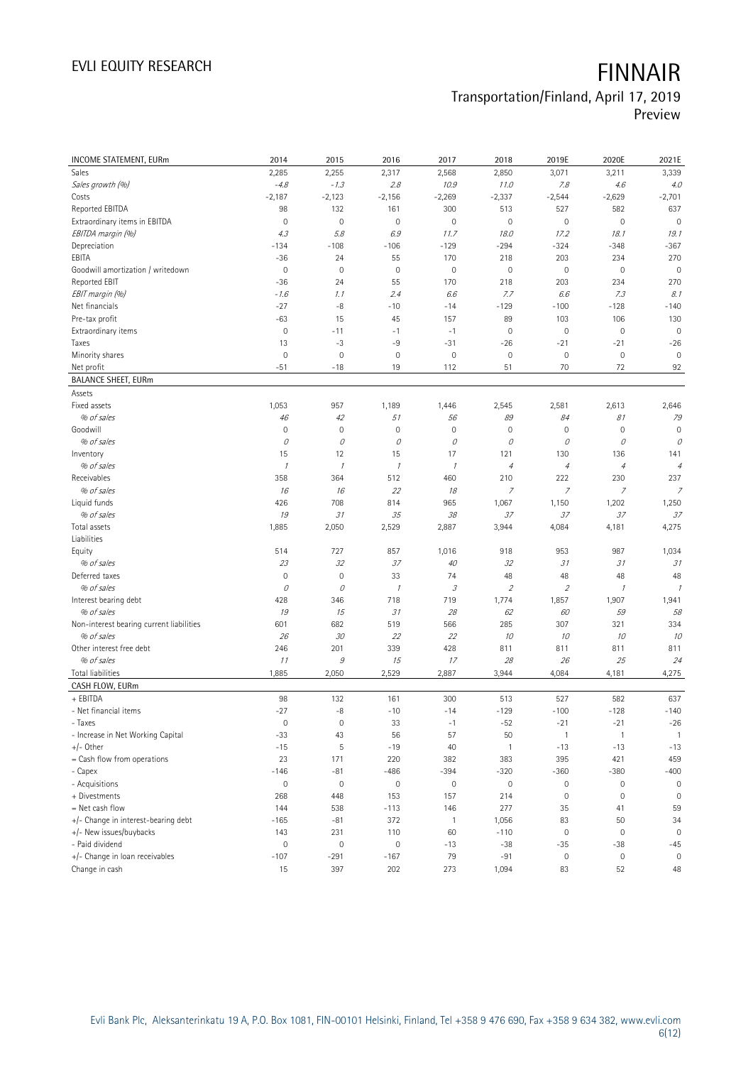# EVLI EQUITY RESEARCH **FINNAIR**

# Transportation/Finland, April 17, 2019

Preview

| <b>INCOME STATEMENT, EURm</b>            | 2014                | 2015          | 2016          | 2017                | 2018                        | 2019E                       | 2020E                                   | 2021E                |
|------------------------------------------|---------------------|---------------|---------------|---------------------|-----------------------------|-----------------------------|-----------------------------------------|----------------------|
| Sales                                    | 2,285               | 2,255         | 2,317         | 2,568               | 2,850                       | 3,071                       | 3,211                                   | 3,339                |
| Sales growth (%)                         | $-4.8$              | $-1.3$        | 2.8           | 10.9                | 11.0                        | 7.8                         | 4.6                                     | 4.0                  |
| Costs                                    | $-2,187$            | $-2,123$      | $-2,156$      | $-2,269$            | $-2,337$                    | $-2,544$                    | $-2,629$                                | $-2,701$             |
| Reported EBITDA                          | 98                  | 132           | 161           | 300                 | 513                         | 527                         | 582                                     | 637                  |
| Extraordinary items in EBITDA            | $\mathbb O$         | $\mathbf 0$   | $\mathbf 0$   | $\overline{0}$      | $\mathbf 0$                 | $\mathbf 0$                 | $\mathbf 0$                             | $\mathbf 0$          |
| EBITDA margin (%)                        | 4.3                 | 5.8           | 6.9           | 11.7                | 18.0                        | 17.2                        | 18.1                                    | 19.1                 |
| Depreciation                             | $-134$              | $-108$        | $-106$        | $-129$              | $-294$                      | $-324$                      | $-348$                                  | $-367$               |
| EBITA                                    | $-36$               | 24            | 55            | 170                 | 218                         | 203                         | 234                                     | 270                  |
| Goodwill amortization / writedown        | $\mathbb O$         | $\mathbf 0$   | $\mathbf 0$   | 0                   | $\mathbf 0$                 | $\mathbf 0$                 | $\mathbf 0$                             | $\mathbf 0$          |
| Reported EBIT                            | $-36$               | 24            | 55            | 170                 | 218                         | 203                         | 234                                     | 270                  |
| EBIT margin (%)                          | $-1.6$              | 1.1           | 2.4           | 6.6                 | 7.7                         | 6.6                         | 7.3                                     | 8.1                  |
| Net financials                           | $-27$               | $-8$          | $-10$         | $-14$               | $-129$                      | $-100$                      | $-128$                                  | $-140$               |
| Pre-tax profit                           | $-63$               | 15            | 45            | 157                 | 89                          | 103                         | 106                                     | 130                  |
| Extraordinary items                      | $\mathsf{O}\xspace$ | $-11$         | $-1$          | $-1$                | $\mathbf 0$                 | $\mathbf 0$                 | $\mathbf 0$                             | $\mathbf 0$          |
| Taxes                                    | 13                  | $-3$          | $-9$          | $-31$               | $-26$                       | $-21$                       | $-21$                                   | $-26$                |
| Minority shares                          | $\mathbf 0$         | $\mathbf 0$   | $\mathbf 0$   | $\mathsf{O}\xspace$ | $\mathbb O$                 | $\mathbf 0$                 | $\mathbf 0$                             | $\mathbf 0$          |
| Net profit                               | $-51$               | $-18$         | 19            | 112                 | 51                          | 70                          | 72                                      | 92                   |
| <b>BALANCE SHEET, EURm</b>               |                     |               |               |                     |                             |                             |                                         |                      |
| Assets                                   |                     |               |               |                     |                             |                             |                                         |                      |
| Fixed assets                             | 1,053               | 957           | 1,189         | 1,446               | 2,545                       | 2,581                       | 2,613                                   | 2,646                |
| % of sales                               | 46                  | 42            | 51            | 56                  | 89                          | 84                          | 81                                      | 79                   |
| Goodwill                                 | $\mathbb O$         | $\mathbf 0$   | $\mathbf 0$   | $\mathsf{O}\xspace$ | $\mathbf 0$                 | $\mathbf 0$                 | $\mathbf 0$                             | $\mathbf 0$          |
| % of sales                               | 0                   | 0             | 0             | 0                   | 0                           | 0                           | 0                                       | 0                    |
| Inventory                                | 15                  | 12            | 15            | 17                  | 121                         | 130                         | 136                                     | 141                  |
| % of sales                               | $\mathcal I$        | $\mathcal{I}$ | $\mathcal{I}$ | $\mathcal I$        | $\sqrt{4}$                  | $\sqrt{4}$                  | $\ensuremath{\mathnormal{\mathcal{A}}}$ | $\overline{4}$       |
| Receivables                              | 358                 | 364           | 512           | 460                 | 210                         | 222                         | 230                                     | 237                  |
| % of sales                               | 16                  | 16            | 22            | 18                  | $\overline{z}$              | $\overline{z}$              | $\overline{z}$                          | $\overline{z}$       |
| Liquid funds                             | 426                 | 708           | 814           | 965                 | 1,067                       | 1,150                       | 1,202                                   | 1,250                |
| % of sales                               | 19                  | 31            | 35            | 38                  | 37                          | 37                          | 37                                      | 37                   |
| Total assets                             | 1,885               | 2,050         | 2,529         | 2,887               | 3,944                       | 4,084                       | 4,181                                   | 4,275                |
| Liabilities                              |                     |               |               |                     |                             |                             |                                         |                      |
| Equity                                   | 514                 | 727           | 857           | 1,016               | 918                         | 953                         | 987                                     | 1,034                |
| % of sales                               | 23                  | 32            | 37            | 40                  | 32                          | 31                          | 31                                      | 31                   |
| Deferred taxes                           | $\mathsf{O}\xspace$ | $\mathbf 0$   | 33            | 74                  | 48                          | 48                          | 48                                      | 48                   |
| % of sales                               | 0                   | 0             | $\mathcal{I}$ | 3                   | $\mathcal{L}_{\mathcal{L}}$ | $\mathcal{L}_{\mathcal{L}}$ | $\cal I$                                | $\mathcal{I}$        |
| Interest bearing debt                    | 428                 | 346           | 718           | 719                 | 1,774                       | 1,857                       | 1,907                                   | 1,941                |
| % of sales                               | 19                  | 15            | 31            | 28                  | 62                          | 60                          | 59                                      | 58                   |
| Non-interest bearing current liabilities | 601                 | 682           | 519           | 566                 | 285                         | 307                         | 321                                     | 334                  |
| % of sales                               | 26                  | 30            | 22            | 22                  | 10                          | 10                          | 10                                      | 10                   |
| Other interest free debt                 | 246                 | 201           | 339           | 428                 | 811                         | 811                         | 811                                     | 811                  |
| % of sales                               | 11                  | $\mathcal G$  | 15            | 17                  | 28                          | 26                          | 25                                      | 24                   |
| <b>Total liabilities</b>                 | 1,885               | 2,050         | 2,529         | 2,887               | 3,944                       | 4,084                       | 4,181                                   | 4,275                |
| CASH FLOW, EURm                          |                     |               |               |                     |                             |                             |                                         |                      |
| + EBITDA                                 | 98                  | 132           | 161           | 300                 | 513                         | 527                         | 582                                     | 637                  |
| - Net financial items                    | $-27$               | -8            | $-10$         | $-14$               | $-129$                      | $-100$                      | $-128$                                  | $-140$               |
| - Taxes                                  | $\bf 0$             | $\mathbb O$   | 33            | $-1$                | $-52$                       | $-21$                       | $-21$                                   | $-26$                |
| - Increase in Net Working Capital        | $-33$               | 43            | 56            | 57                  | 50                          | $\overline{1}$              | $\mathbf{1}$                            | $\overline{1}$       |
| $+/-$ Other                              | $-15$               | 5             | $-19$         | 40                  | $\mathbf{1}$                | $-13$                       | $-13$                                   | $-13$                |
| = Cash flow from operations              | 23                  | 171           | 220           | 382                 | 383                         | 395                         | 421                                     | 459                  |
| - Capex                                  | $-146$              | $-81$         | $-486$        | $-394$              | $-320$                      | $-360$                      | $-380$                                  | $-400$               |
| - Acquisitions                           | $\mathsf{O}\xspace$ | $\mathbb O$   | $\mathbb O$   | 0                   | $\mathbb O$                 | $\mathsf{O}\xspace$         | $\mathsf{O}\xspace$                     | $\mathbb O$          |
| + Divestments                            | 268                 | 448           | 153           | 157                 | 214                         | $\mathbf 0$                 | $\mathbf 0$                             | $\mathbf 0$          |
| = Net cash flow                          | 144                 | 538           | $-113$        | 146                 | 277                         | 35                          | 41                                      | 59                   |
| +/- Change in interest-bearing debt      | $-165$              | $-81$         | 372           | $\mathbf{1}$        | 1,056                       | 83                          | 50                                      | 34                   |
| +/- New issues/buybacks                  | 143                 | 231           | 110           | 60                  | $-110$                      | $\mathbb O$                 | $\mathsf{O}\xspace$                     | $\mathbf 0$          |
| - Paid dividend                          | $\mathsf{O}\xspace$ | $\mathbf 0$   | $\mathbf 0$   |                     |                             |                             |                                         |                      |
|                                          |                     |               |               | $-13$               | $-38$                       | $-35$                       | $-38$                                   | $-45$<br>$\mathbf 0$ |
| +/- Change in loan receivables           | $-107$              | $-291$        | $-167$        | 79                  | $-91$                       | $\mathbb O$                 | $\mathsf{O}\xspace$                     |                      |
| Change in cash                           | 15                  | 397           | 202           | 273                 | 1,094                       | 83                          | 52                                      | 48                   |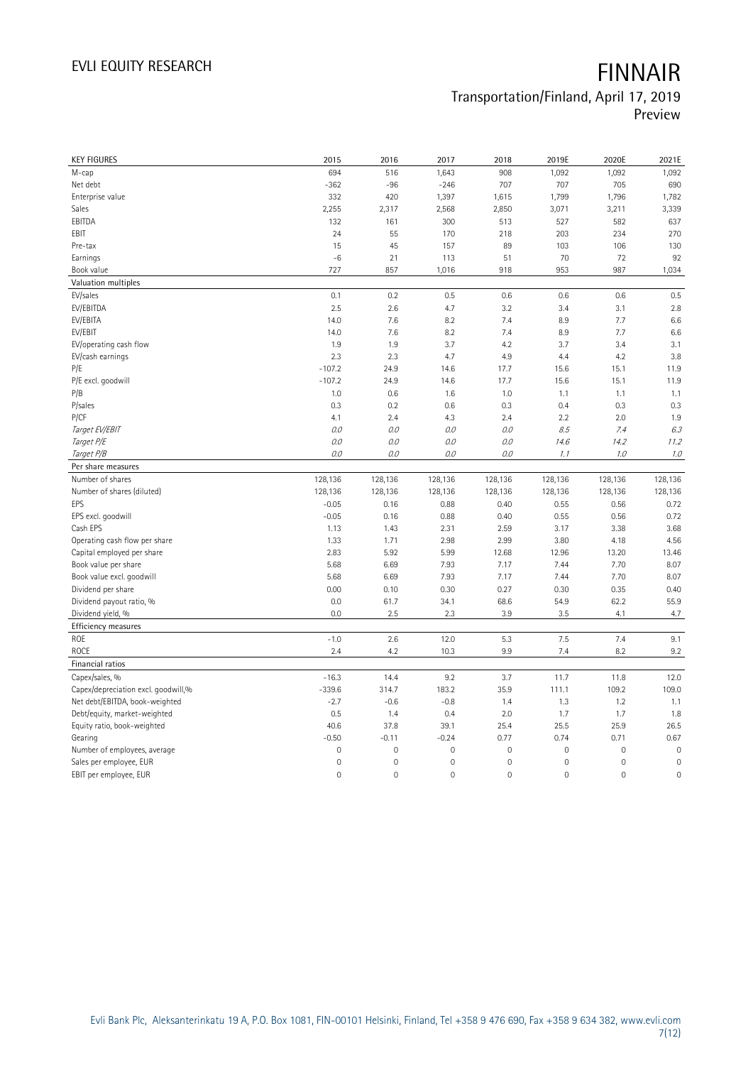# EVLI EQUITY RESEARCH **FINNAIR**

## Transportation/Finland, April 17, 2019 Preview

| <b>KEY FIGURES</b>                              | 2015            | 2016                | 2017         | 2018                | 2019E               | 2020E               | 2021E        |
|-------------------------------------------------|-----------------|---------------------|--------------|---------------------|---------------------|---------------------|--------------|
| M-cap                                           | 694             | 516                 | 1,643        | 908                 | 1,092               | 1,092               | 1,092        |
| Net debt                                        | $-362$          | $-96$               | $-246$       | 707                 | 707                 | 705                 | 690          |
| Enterprise value                                | 332             | 420                 | 1,397        | 1,615               | 1,799               | 1,796               | 1,782        |
| Sales                                           | 2,255           | 2,317               | 2,568        | 2,850               | 3,071               | 3,211               | 3,339        |
| EBITDA                                          | 132             | 161                 | 300          | 513                 | 527                 | 582                 | 637          |
| EBIT                                            | 24              | 55                  | 170          | 218                 | 203                 | 234                 | 270          |
| Pre-tax                                         | 15              | 45                  | 157          | 89                  | 103                 | 106                 | 130          |
| Earnings                                        | $-6$            | 21                  | 113          | 51                  | 70                  | 72                  | 92           |
| Book value                                      | 727             | 857                 | 1,016        | 918                 | 953                 | 987                 | 1,034        |
| Valuation multiples                             |                 |                     |              |                     |                     |                     |              |
| EV/sales                                        | 0.1             | 0.2                 | 0.5          | 0.6                 | 0.6                 | 0.6                 | 0.5          |
| EV/EBITDA                                       | 2.5             | 2.6                 | 4.7          | 3.2                 | 3.4                 | 3.1                 | 2.8          |
| EV/EBITA                                        | 14.0            | 7.6                 | 8.2          | 7.4                 | 8.9                 | 7.7                 | 6.6          |
| EV/EBIT                                         | 14.0            | 7.6                 | 8.2          | 7.4                 | 8.9                 | 7.7                 | 6.6          |
| EV/operating cash flow                          | 1.9             | 1.9                 | 3.7          | 4.2                 | 3.7                 | 3.4                 | 3.1          |
| EV/cash earnings                                | 2.3             | 2.3                 | 4.7          | 4.9                 | 4.4                 | 4.2                 | 3.8          |
| P/E                                             | $-107.2$        | 24.9                | 14.6         | 17.7                | 15.6                | 15.1                | 11.9         |
| P/E excl. goodwill                              | $-107.2$        | 24.9                | 14.6         | 17.7                | 15.6                | 15.1                | 11.9         |
| P/B                                             | 1.0             | 0.6                 | 1.6          | 1.0                 | 1.1                 | 1.1                 | 1.1          |
| P/sales                                         | 0.3             | 0.2                 | 0.6          | 0.3                 | 0.4                 | 0.3                 | 0.3          |
| P/CF                                            | 4.1             | 2.4                 | 4.3          | 2.4                 | 2.2                 | 2.0                 | 1.9          |
| Target EV/EBIT                                  | 0.0             | 0.0                 | 0.0          | O.O                 | 8.5                 | 7.4                 | 6.3          |
| Target P/E                                      | $O.O$           | 0.0                 | 0.0          | 0.0                 | 14.6                | 14.2                | 11.2         |
| Target P/B                                      | $O.O$           | 0.0                 | 0.0          | 0.0                 | 1.1                 | 1.0                 | $7.0\,$      |
| Per share measures                              |                 |                     |              |                     |                     |                     |              |
|                                                 |                 |                     |              |                     |                     |                     |              |
|                                                 |                 |                     |              |                     |                     |                     |              |
| Number of shares                                | 128,136         | 128,136             | 128,136      | 128,136             | 128,136             | 128,136             | 128,136      |
| Number of shares (diluted)                      | 128,136         | 128,136             | 128,136      | 128,136             | 128,136             | 128,136             | 128,136      |
| EPS                                             | $-0.05$         | 0.16                | 0.88         | 0.40                | 0.55                | 0.56                | 0.72         |
| EPS excl. goodwill<br>Cash EPS                  | $-0.05$<br>1.13 | 0.16<br>1.43        | 0.88<br>2.31 | 0.40<br>2.59        | 0.55<br>3.17        | 0.56<br>3.38        | 0.72<br>3.68 |
| Operating cash flow per share                   | 1.33            | 1.71                | 2.98         | 2.99                | 3.80                | 4.18                | 4.56         |
|                                                 | 2.83            | 5.92                | 5.99         | 12.68               | 12.96               |                     |              |
| Capital employed per share                      |                 |                     |              |                     |                     | 13.20               | 13.46        |
| Book value per share                            | 5.68<br>5.68    | 6.69                | 7.93<br>7.93 | 7.17<br>7.17        | 7.44<br>7.44        | 7.70<br>7.70        | 8.07         |
| Book value excl. goodwill<br>Dividend per share | 0.00            | 6.69<br>0.10        | 0.30         | 0.27                | 0.30                | 0.35                | 8.07<br>0.40 |
| Dividend payout ratio, %                        | 0.0             | 61.7                | 34.1         | 68.6                | 54.9                | 62.2                | 55.9         |
|                                                 | 0.0             | 2.5                 | 2.3          | 3.9                 | 3.5                 | 4.1                 | 4.7          |
| Dividend yield, %                               |                 |                     |              |                     |                     |                     |              |
| Efficiency measures<br>ROE                      | $-1.0$          | 2.6                 | 12.0         | 5.3                 | 7.5                 | 7.4                 | 9.1          |
| ROCE                                            | 2.4             | 4.2                 | 10.3         | 9.9                 | 7.4                 | 8.2                 |              |
| Financial ratios                                |                 |                     |              |                     |                     |                     | 9.2          |
| Capex/sales, %                                  | $-16.3$         | 14.4                | 9.2          | 3.7                 | 11.7                | 11.8                | 12.0         |
| Capex/depreciation excl. goodwill,%             | $-339.6$        | 314.7               | 183.2        | 35.9                | 111.1               | 109.2               | 109.0        |
| Net debt/EBITDA, book-weighted                  | $-2.7$          | $-0.6$              | $-0.8$       | 1.4                 | 1.3                 | 1.2                 | 1.1          |
| Debt/equity, market-weighted                    | 0.5             | 1.4                 | 0.4          | 2.0                 | 1.7                 | 1.7                 | 1.8          |
| Equity ratio, book-weighted                     | 40.6            | 37.8                | 39.1         | 25.4                | 25.5                | 25.9                | 26.5         |
| Gearing                                         | $-0.50$         | $-0.11$             | $-0.24$      | 0.77                | 0.74                | 0.71                | 0.67         |
| Number of employees, average                    | $\mathbf 0$     | $\mathsf{O}\xspace$ | $\mathbf 0$  | $\mathbf 0$         | $\mathsf{O}\xspace$ | $\mathbf 0$         | $\mathbf 0$  |
| Sales per employee, EUR                         | $\mathbf 0$     | $\mathsf{O}\xspace$ | $\mathbf 0$  | $\mathbf 0$         | $\mathsf{O}\xspace$ | 0                   | $\mathbf 0$  |
| EBIT per employee, EUR                          | $\mathbf 0$     | $\mathsf{O}\xspace$ | $\mathbf 0$  | $\mathsf{O}\xspace$ | $\mathsf{O}\xspace$ | $\mathsf{O}\xspace$ | $\mathbf 0$  |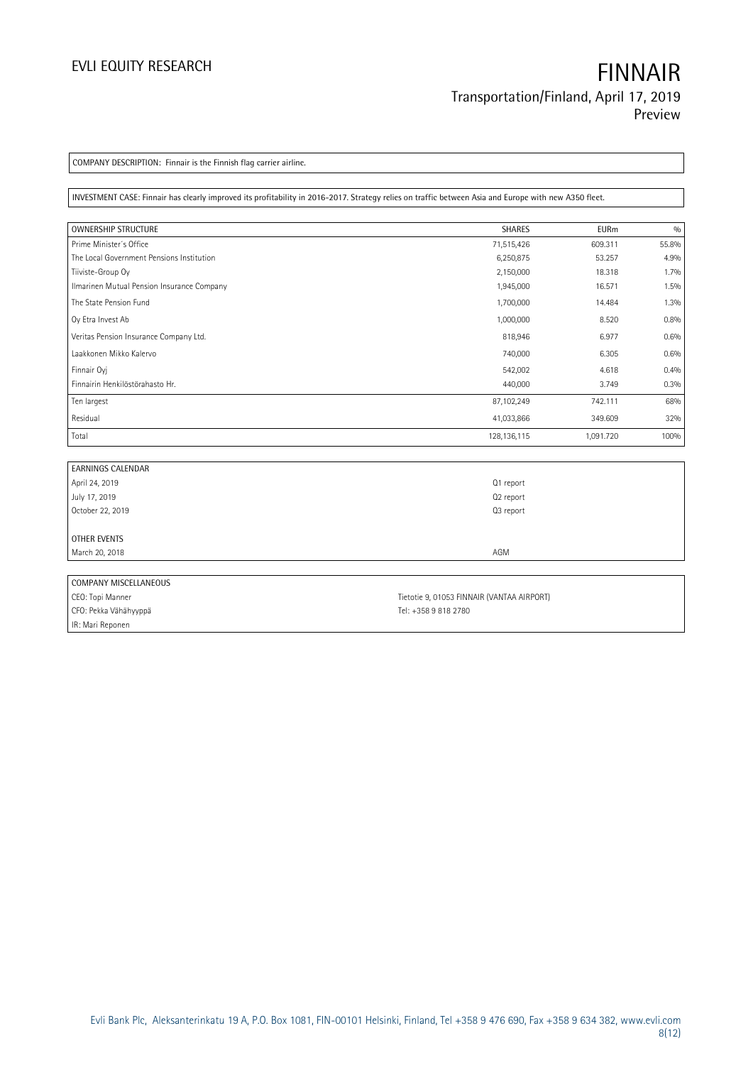COMPANY DESCRIPTION: Finnair is the Finnish flag carrier airline.

INVESTMENT CASE: Finnair has clearly improved its profitability in 2016-2017. Strategy relies on traffic between Asia and Europe with new A350 fleet.

| <b>OWNERSHIP STRUCTURE</b>                 | <b>SHARES</b> | <b>EURm</b> | 0/0   |
|--------------------------------------------|---------------|-------------|-------|
| Prime Minister's Office                    | 71,515,426    | 609.311     | 55.8% |
| The Local Government Pensions Institution  | 6,250,875     | 53.257      | 4.9%  |
| Tiiviste-Group Oy                          | 2,150,000     | 18.318      | 1.7%  |
| Ilmarinen Mutual Pension Insurance Company | 1,945,000     | 16.571      | 1.5%  |
| The State Pension Fund                     | 1,700,000     | 14.484      | 1.3%  |
| Oy Etra Invest Ab                          | 1,000,000     | 8.520       | 0.8%  |
| Veritas Pension Insurance Company Ltd.     | 818,946       | 6.977       | 0.6%  |
| Laakkonen Mikko Kalervo                    | 740,000       | 6.305       | 0.6%  |
| Finnair Oyj                                | 542,002       | 4.618       | 0.4%  |
| Finnairin Henkilöstörahasto Hr.            | 440,000       | 3.749       | 0.3%  |
| Ten largest                                | 87,102,249    | 742.111     | 68%   |
| Residual                                   | 41,033,866    | 349.609     | 32%   |
| Total                                      | 128,136,115   | 1,091.720   | 100%  |

| <b>EARNINGS CALENDAR</b> |           |
|--------------------------|-----------|
| April 24, 2019           | Q1 report |
| July 17, 2019            | Q2 report |
| October 22, 2019         | Q3 report |
|                          |           |
| OTHER EVENTS             |           |
| March 20, 2018           | AGM       |
|                          |           |
| COMPANY MISCELLANEOUS    |           |

| I CUIVILAIN I IVII SCLLLAIN LUUS |                                            |
|----------------------------------|--------------------------------------------|
| CEO: Topi Manner                 | Tietotie 9, 01053 FINNAIR (VANTAA AIRPORT) |
| CFO: Pekka Vähähyyppä            | Tel: +358 9 818 2780                       |
| IR: Mari Reponen                 |                                            |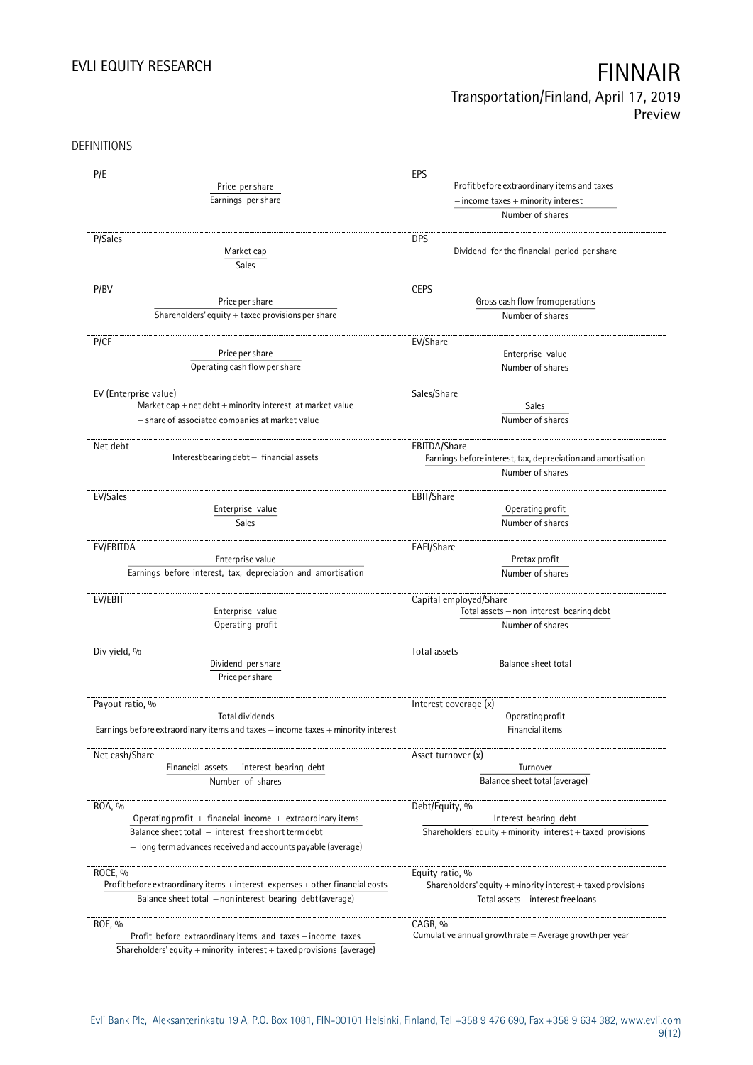DEFINITIONS

| P/E                                                                              | EPS<br>Profit before extraordinary items and taxes<br>$-$ income taxes $+$ minority interest          |  |  |
|----------------------------------------------------------------------------------|-------------------------------------------------------------------------------------------------------|--|--|
| Price per share                                                                  |                                                                                                       |  |  |
| Earnings per share                                                               |                                                                                                       |  |  |
|                                                                                  | Number of shares                                                                                      |  |  |
|                                                                                  |                                                                                                       |  |  |
| P/Sales                                                                          | <b>DPS</b>                                                                                            |  |  |
| Market cap                                                                       | Dividend for the financial period per share                                                           |  |  |
| Sales                                                                            |                                                                                                       |  |  |
| P/BV                                                                             | <b>CEPS</b>                                                                                           |  |  |
| Price per share                                                                  | Gross cash flow from operations                                                                       |  |  |
| Shareholders' equity $+$ taxed provisions per share                              | Number of shares                                                                                      |  |  |
|                                                                                  |                                                                                                       |  |  |
| P/CF                                                                             | EV/Share                                                                                              |  |  |
| Price per share                                                                  | Enterprise value                                                                                      |  |  |
| Operating cash flow per share                                                    | Number of shares                                                                                      |  |  |
|                                                                                  |                                                                                                       |  |  |
| EV (Enterprise value)                                                            | Sales/Share                                                                                           |  |  |
| Market cap + net $debt$ + minority interest at market value                      | <b>Sales</b>                                                                                          |  |  |
| - share of associated companies at market value                                  | Number of shares                                                                                      |  |  |
|                                                                                  |                                                                                                       |  |  |
| Net debt                                                                         | EBITDA/Share                                                                                          |  |  |
| Interest bearing debt - financial assets                                         | Earnings before interest, tax, depreciation and amortisation                                          |  |  |
|                                                                                  | Number of shares                                                                                      |  |  |
| EV/Sales                                                                         | EBIT/Share                                                                                            |  |  |
| Enterprise value                                                                 | Operating profit                                                                                      |  |  |
| Sales                                                                            | Number of shares                                                                                      |  |  |
|                                                                                  |                                                                                                       |  |  |
| EV/EBITDA                                                                        | EAFI/Share                                                                                            |  |  |
| Enterprise value                                                                 | Pretax profit                                                                                         |  |  |
| Earnings before interest, tax, depreciation and amortisation                     | Number of shares                                                                                      |  |  |
|                                                                                  |                                                                                                       |  |  |
| EV/EBIT                                                                          | Capital employed/Share                                                                                |  |  |
| Enterprise value                                                                 | Total assets - non interest bearing debt                                                              |  |  |
| Operating profit                                                                 | Number of shares                                                                                      |  |  |
| Div yield, %                                                                     | Total assets                                                                                          |  |  |
| Dividend per share                                                               | Balance sheet total                                                                                   |  |  |
| Price per share                                                                  |                                                                                                       |  |  |
|                                                                                  |                                                                                                       |  |  |
| Payout ratio, %                                                                  | Interest coverage (x)                                                                                 |  |  |
| Total dividends                                                                  | Operating profit                                                                                      |  |  |
| Earnings before extraordinary items and taxes - income taxes + minority interest | Financial items                                                                                       |  |  |
|                                                                                  |                                                                                                       |  |  |
| Net cash/Share                                                                   | Asset turnover (x)                                                                                    |  |  |
| Financial assets $-$ interest bearing debt                                       | Turnover                                                                                              |  |  |
| Number of shares                                                                 | Balance sheet total (average)                                                                         |  |  |
|                                                                                  |                                                                                                       |  |  |
| ROA, %<br>Operating profit $+$ financial income $+$ extraordinary items          | Debt/Equity, %<br>Interest bearing debt                                                               |  |  |
| Balance sheet total - interest free short term debt                              | Shareholders' equity + minority interest + taxed provisions                                           |  |  |
| - long term advances received and accounts payable (average)                     |                                                                                                       |  |  |
|                                                                                  |                                                                                                       |  |  |
| ROCE, %                                                                          | Equity ratio, %                                                                                       |  |  |
| Profit before extraordinary items + interest expenses + other financial costs    | Shareholders' equity $+$ minority interest $+$ taxed provisions<br>Total assets - interest free loans |  |  |
| Balance sheet total - non interest bearing debt (average)                        |                                                                                                       |  |  |
|                                                                                  |                                                                                                       |  |  |
| ROE, %                                                                           | CAGR, %                                                                                               |  |  |
| Profit before extraordinary items and taxes - income taxes                       | Cumulative annual growth rate $=$ Average growth per year                                             |  |  |
| Shareholders' equity + minority interest + taxed provisions (average)            |                                                                                                       |  |  |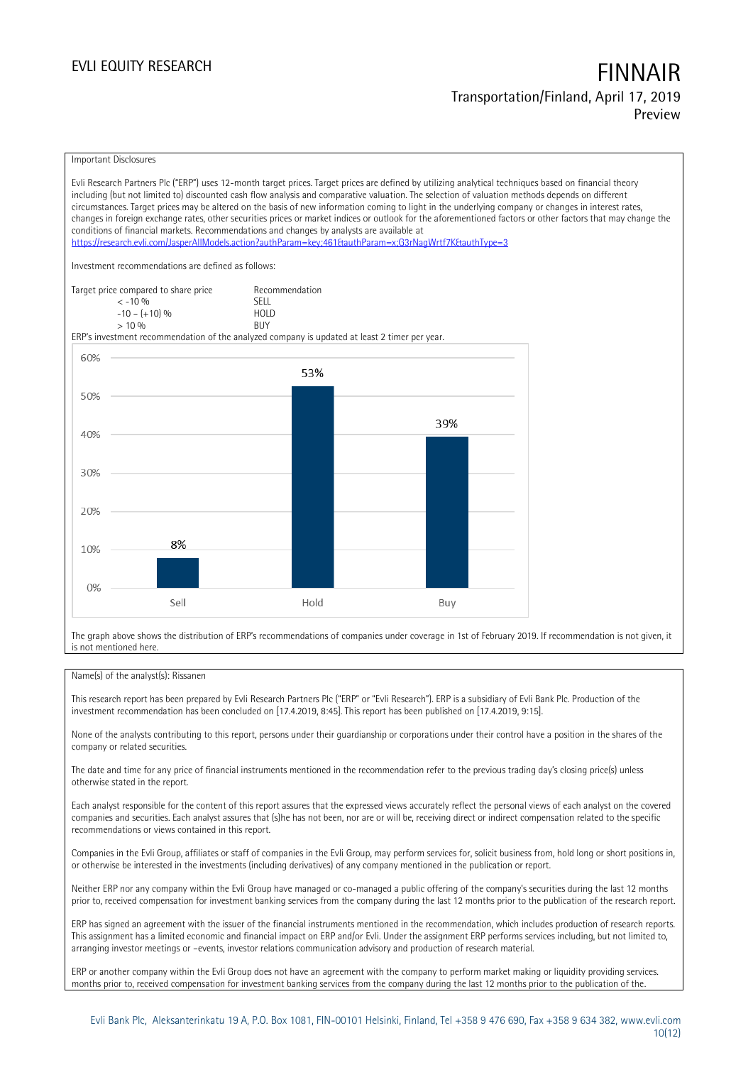### Important Disclosures

Evli Research Partners Plc ("ERP") uses 12-month target prices. Target prices are defined by utilizing analytical techniques based on financial theory including (but not limited to) discounted cash flow analysis and comparative valuation. The selection of valuation methods depends on different circumstances. Target prices may be altered on the basis of new information coming to light in the underlying company or changes in interest rates, changes in foreign exchange rates, other securities prices or market indices or outlook for the aforementioned factors or other factors that may change the conditions of financial markets. Recommendations and changes by analysts are available at <https://research.evli.com/JasperAllModels.action?authParam=key;461&authParam=x;G3rNagWrtf7K&authType=3> Investment recommendations are defined as follows: Target price compared to share price Recommendation<br>  $\leq -10\%$  $\langle 5, 10, 10 \rangle$  SELL<br> $\langle -10, 10, 10 \rangle$  SELL  $-10 - (+10) \%$  HOL<br>  $> 10 \%$  RIJY  $> 10\%$ ERP's investment recommendation of the analyzed company is updated at least 2 timer per year. 60% 53% 50% 39% 40% 30% 20% 8% 10%  $0%$ Sell Hold Buy

The graph above shows the distribution of ERP's recommendations of companies under coverage in 1st of February 2019. If recommendation is not given, it is not mentioned here.

### Name(s) of the analyst(s): Rissanen

This research report has been prepared by Evli Research Partners Plc ("ERP" or "Evli Research"). ERP is a subsidiary of Evli Bank Plc. Production of the investment recommendation has been concluded on [17.4.2019, 8:45]. This report has been published on [17.4.2019, 9:15].

None of the analysts contributing to this report, persons under their guardianship or corporations under their control have a position in the shares of the company or related securities.

The date and time for any price of financial instruments mentioned in the recommendation refer to the previous trading day's closing price(s) unless otherwise stated in the report.

Each analyst responsible for the content of this report assures that the expressed views accurately reflect the personal views of each analyst on the covered companies and securities. Each analyst assures that (s)he has not been, nor are or will be, receiving direct or indirect compensation related to the specific recommendations or views contained in this report.

Companies in the Evli Group, affiliates or staff of companies in the Evli Group, may perform services for, solicit business from, hold long or short positions in, or otherwise be interested in the investments (including derivatives) of any company mentioned in the publication or report.

Neither ERP nor any company within the Evli Group have managed or co-managed a public offering of the company's securities during the last 12 months prior to, received compensation for investment banking services from the company during the last 12 months prior to the publication of the research report.

ERP has signed an agreement with the issuer of the financial instruments mentioned in the recommendation, which includes production of research reports. This assignment has a limited economic and financial impact on ERP and/or Evli. Under the assignment ERP performs services including, but not limited to, arranging investor meetings or –events, investor relations communication advisory and production of research material.

ERP or another company within the Evli Group does not have an agreement with the company to perform market making or liquidity providing services. months prior to, received compensation for investment banking services from the company during the last 12 months prior to the publication of the.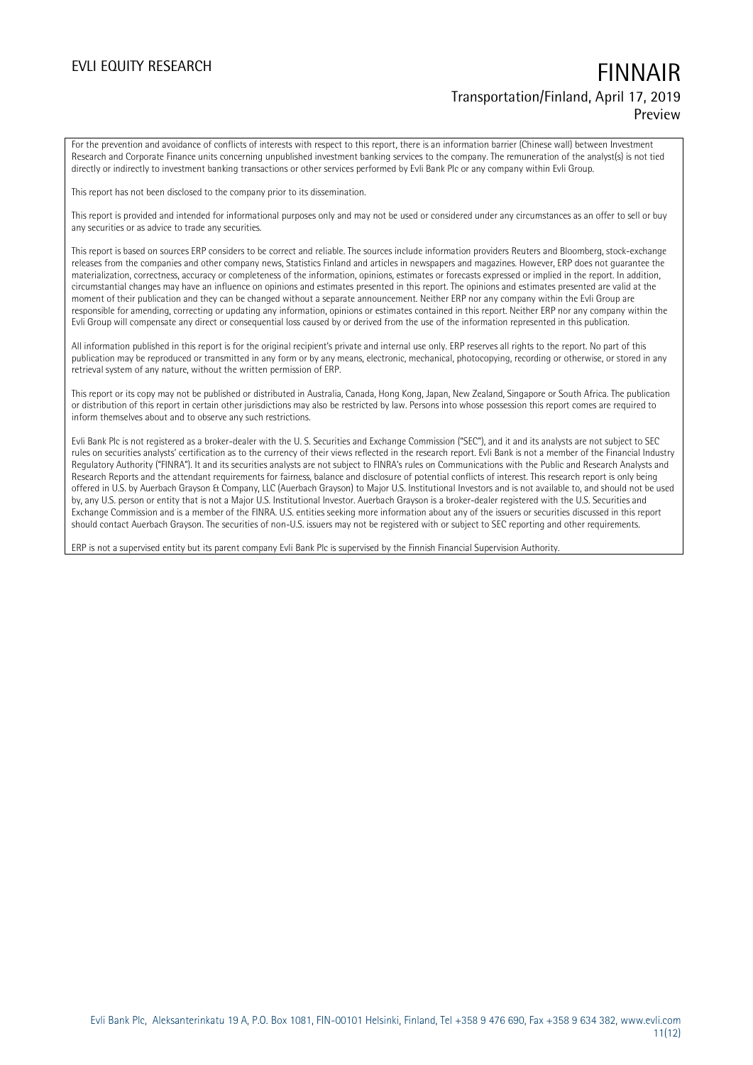For the prevention and avoidance of conflicts of interests with respect to this report, there is an information barrier (Chinese wall) between Investment Research and Corporate Finance units concerning unpublished investment banking services to the company. The remuneration of the analyst(s) is not tied directly or indirectly to investment banking transactions or other services performed by Evli Bank Plc or any company within Evli Group.

This report has not been disclosed to the company prior to its dissemination.

This report is provided and intended for informational purposes only and may not be used or considered under any circumstances as an offer to sell or buy any securities or as advice to trade any securities.

This report is based on sources ERP considers to be correct and reliable. The sources include information providers Reuters and Bloomberg, stock-exchange releases from the companies and other company news, Statistics Finland and articles in newspapers and magazines. However, ERP does not guarantee the materialization, correctness, accuracy or completeness of the information, opinions, estimates or forecasts expressed or implied in the report. In addition, circumstantial changes may have an influence on opinions and estimates presented in this report. The opinions and estimates presented are valid at the moment of their publication and they can be changed without a separate announcement. Neither ERP nor any company within the Evli Group are responsible for amending, correcting or updating any information, opinions or estimates contained in this report. Neither ERP nor any company within the Evli Group will compensate any direct or consequential loss caused by or derived from the use of the information represented in this publication.

All information published in this report is for the original recipient's private and internal use only. ERP reserves all rights to the report. No part of this publication may be reproduced or transmitted in any form or by any means, electronic, mechanical, photocopying, recording or otherwise, or stored in any retrieval system of any nature, without the written permission of ERP.

This report or its copy may not be published or distributed in Australia, Canada, Hong Kong, Japan, New Zealand, Singapore or South Africa. The publication or distribution of this report in certain other jurisdictions may also be restricted by law. Persons into whose possession this report comes are required to inform themselves about and to observe any such restrictions.

Evli Bank Plc is not registered as a broker-dealer with the U. S. Securities and Exchange Commission ("SEC"), and it and its analysts are not subject to SEC rules on securities analysts' certification as to the currency of their views reflected in the research report. Evli Bank is not a member of the Financial Industry Regulatory Authority ("FINRA"). It and its securities analysts are not subject to FINRA's rules on Communications with the Public and Research Analysts and Research Reports and the attendant requirements for fairness, balance and disclosure of potential conflicts of interest. This research report is only being offered in U.S. by Auerbach Grayson & Company, LLC (Auerbach Grayson) to Major U.S. Institutional Investors and is not available to, and should not be used by, any U.S. person or entity that is not a Major U.S. Institutional Investor. Auerbach Grayson is a broker-dealer registered with the U.S. Securities and Exchange Commission and is a member of the FINRA. U.S. entities seeking more information about any of the issuers or securities discussed in this report should contact Auerbach Grayson. The securities of non-U.S. issuers may not be registered with or subject to SEC reporting and other requirements.

ERP is not a supervised entity but its parent company Evli Bank Plc is supervised by the Finnish Financial Supervision Authority.